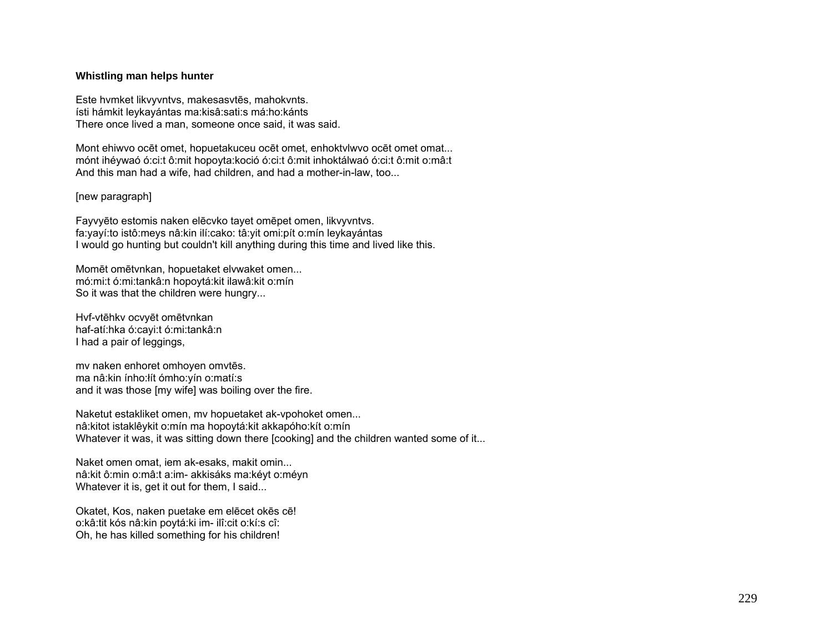## **Whistling man helps hunter**

Este hvmket likvyvntvs, makesasvtēs, mahokvnts. ísti hámkit leykayántas ma:kisâ:sati:s má:ho:kánts There once lived a man, someone once said, it was said.

Mont ehiwvo ocēt omet, hopuetakuceu ocēt omet, enhoktvlwvo ocēt omet omat... mónt ihéywaó ó:ci:t ô:mit hopoyta:koció ó:ci:t ô:mit inhoktálwaó ó:ci:t ô:mit o:mâ:t And this man had a wife, had children, and had a mother-in-law, too...

## [new paragraph]

Fayvyēto estomis naken elēcvko tayet omēpet omen, likvyvntvs. fa:yayí:to istô:meys nâ:kin ilí:cako: tâ:yit omi:pít o:mín leykayántas I would go hunting but couldn't kill anything during this time and lived like this.

Momēt omētvnkan, hopuetaket elvwaket omen... mó:mi:t ó:mi:tankâ:n hopoytá:kit ilawâ:kit o:mín So it was that the children were hungry...

Hvf-vtēhkv ocvyēt omētvnkan haf-atí:hka ó:cayi:t ó:mi:tankâ:n I had a pair of leggings,

mv naken enhoret omhoyen omvtēs. ma nâ:kin ínho:łít ómho:yín o:matí:s and it was those [my wife] was boiling over the fire.

Naketut estakliket omen, mv hopuetaket ak-vpohoket omen... nâ:kitot istaklêykit o:mín ma hopoytá:kit akkapóho:kít o:mín Whatever it was, it was sitting down there [cooking] and the children wanted some of it...

Naket omen omat, iem ak-esaks, makit omin... nâ:kit ô:min o:mâ:t a:im- akkisáks ma:kéyt o:méyn Whatever it is, get it out for them, I said...

Okatet, Kos, naken puetake em elēcet okēs cē! o:kâ:tit kós nâ:kin poytá:ki im- ilî:cit o:kí:s cî: Oh, he has killed something for his children!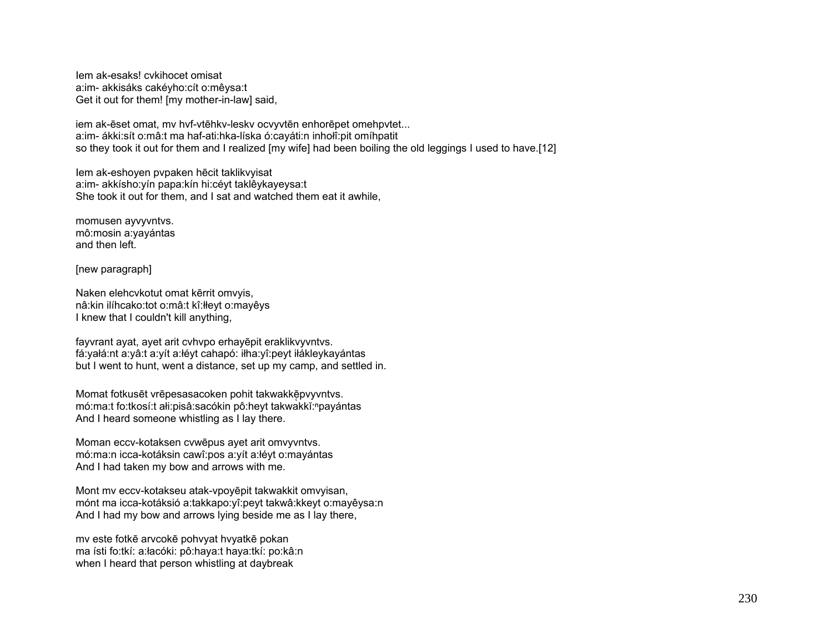Iem ak-esaks! cvkihocet omisat a:im- akkisáks cakéyho:cít o:mêysa:t Get it out for them! [my mother-in-law] said,

iem ak-ēset omat, mv hvf-vtēhkv-leskv ocvyvtēn enhorēpet omehpvtet... a:im- ákki:sít o:mâ:t ma haf-ati:hka-líska ó:cayáti:n inhołî:pit omíhpatit so they took it out for them and I realized [my wife] had been boiling the old leggings I used to have.[12]

Iem ak-eshoyen pvpaken hēcit taklikvyisat a:im- akkísho:yín papa:kín hi:céyt taklêykayeysa:t She took it out for them, and I sat and watched them eat it awhile,

momusen ayvyvntvs. mô:mosin a:yayántas and then left.

[new paragraph]

Naken elehcvkotut omat kērrit omvyis, nâ:kin ilíhcako:tot o:mâ:t kî:łłeyt o:mayêys I knew that I couldn't kill anything,

fayvrant ayat, ayet arit cvhvpo erhayēpit eraklikvyvntvs. fá:yałá:nt a:yâ:t a:yít a:łéyt cahapó: iłha:yî:peyt iłákleykayántas but I went to hunt, went a distance, set up my camp, and settled in.

Momat fotkusēt vrēpesasacoken pohit takwakkē pvyvntvs. mó:ma:t fo:tkosí:t ałi:pisâ:sacókin pô:heyt takwakkĭ:npayántas And I heard someone whistling as I lay there.

Moman eccv-kotaksen cvwēpus ayet arit omvyvntvs. mó:ma:n icca-kotáksin cawî:pos a:yít a:łéyt o:mayántas And I had taken my bow and arrows with me.

Mont mv eccv-kotakseu atak-vpoyēpit takwakkit omvyisan, mónt ma icca-kotáksió a:takkapo:yî:peyt takwâ:kkeyt o:mayêysa:n And I had my bow and arrows lying beside me as I lay there,

mv este fotkē arvcokē pohvyat hvyatkē pokan ma ísti fo:tkí: a:łacóki: pô:haya:t haya:tkí: po:kâ:n when I heard that person whistling at daybreak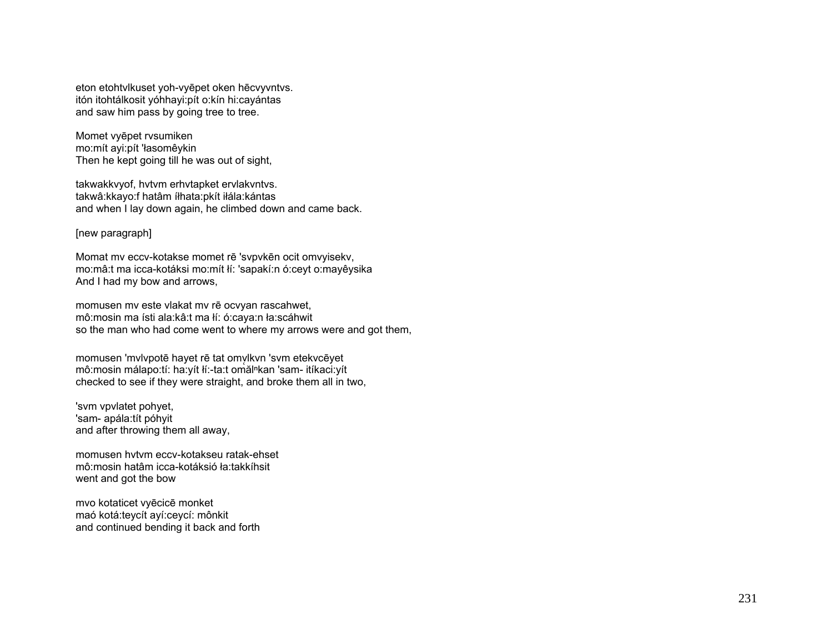eton etohtvlkuset yoh-vyēpet oken hēcvyvntvs. itón itohtálkosit yóhhayi:pít o:kín hi:cayántas and saw him pass by going tree to tree.

Momet vyēpet rvsumiken mo:mít ayi:pít 'łasomêykin Then he kept going till he was out of sight,

takwakkvyof, hvtvm erhvtapket ervlakvntvs. takwâ:kkayo:f hatâm íłhata:pkít iłála:kántas and when I lay down again, he climbed down and came back.

[new paragraph]

Momat mv eccv-kotakse momet rē 'svpvkēn ocit omvyisekv, mo:mâ:t ma icca-kotáksi mo:mít łí: 'sapakí:n ó:ceyt o:mayêysika And I had my bow and arrows,

momusen mv este vlakat mv rē ocvyan rascahwet, mô:mosin ma ísti ala:kâ:t ma łí: ó:caya:n ła:scáhwit so the man who had come went to where my arrows were and got them,

momusen 'mvlvpotē hayet rē tat omvlkvn 'svm etekvcēyet mô:mosin málapo:tí: ha:yít łí:-ta:t omălⁿkan 'sam- itíkaci:yít checked to see if they were straight, and broke them all in two,

'svm vpvlatet pohyet, 'sam- apála:tít póhyit and after throwing them all away,

momusen hvtvm eccv-kotakseu ratak-ehset mô:mosin hatâm icca-kotáksió ła:takkíhsit went and got the bow

mvo kotaticet vyēcicē monket maó kotá:teycít ayí:ceycí: mônkit and continued bending it back and forth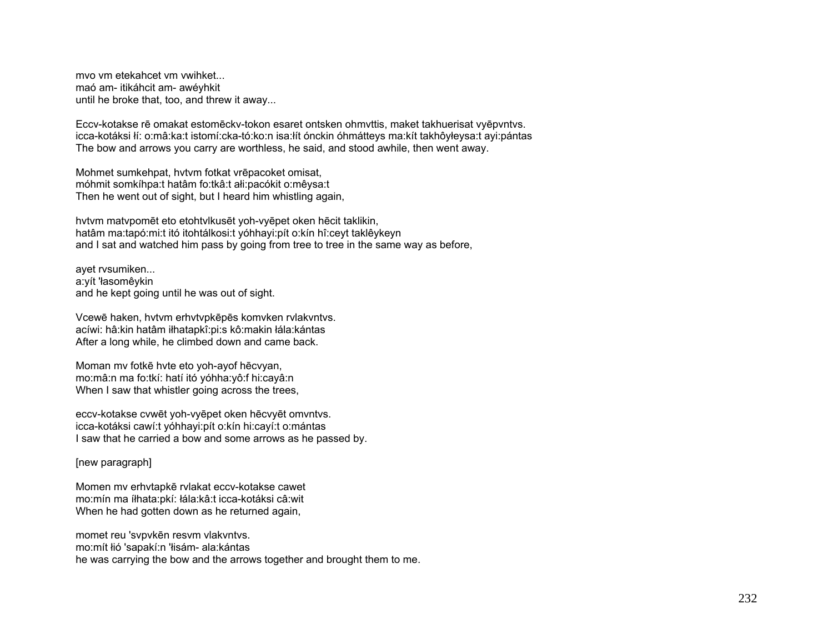mvo vm etekahcet vm vwihket... maó am- itikáhcit am- awévhkit until he broke that, too, and threw it away...

Eccv-kotakse rē omakat estomēckv-tokon esaret ontsken ohmyttis, maket takhuerisat vyēpvntvs. icca-kotáksi lí: o:mâ:ka:t istomí:cka-tó:ko:n isa:lít ónckin óhmátteys ma:kít takhôyłeysa:t ayi:pántas The bow and arrows you carry are worthless, he said, and stood awhile, then went away.

Mohmet sumkehpat, hytym fotkat vrēpacoket omisat, móhmit somkíhpa:t hatâm fo:tkâ:t ałi:pacókit o:mêysa:t Then he went out of sight, but I heard him whistling again,

hytym matypomēt eto etohtylkusēt yoh-vyēpet oken hēcit taklikin, hatâm ma:tapó:mi:t itó itohtálkosi:t yóhhayi:pít o:kín hî:ceyt taklêykeyn and I sat and watched him pass by going from tree to tree in the same way as before.

ayet rvsumiken... a:vít 'łasomêvkin and he kept going until he was out of sight.

Vcewē haken, hytym erhytypkēpēs komyken rylakyntys. acíwi: hâ:kin hatâm iłhatapkî:pi:s kô:makin łála:kántas After a long while, he climbed down and came back.

Moman my fotke hyte eto yoh-ayof hecvyan, mo:mâ:n ma fo:tkí: hatí itó yóhha:yô:f hi:cayâ:n When I saw that whistler going across the trees,

eccv-kotakse cvwēt yoh-vyēpet oken hēcvyēt omvntvs. icca-kotáksi cawí:t yóhhayi:pít o:kín hi:cayí:t o:mántas I saw that he carried a bow and some arrows as he passed by.

[new paragraph]

Momen my erhytapkē rylakat eccy-kotakse cawet mo:mín ma íłhata:pkí: łála:kâ:t icca-kotáksi câ:wit When he had gotten down as he returned again,

momet reu 'svpvkēn resvm vlakvntvs. mo: mít łió 'sapakí: n 'łisám- ala: kántas he was carrying the bow and the arrows together and brought them to me.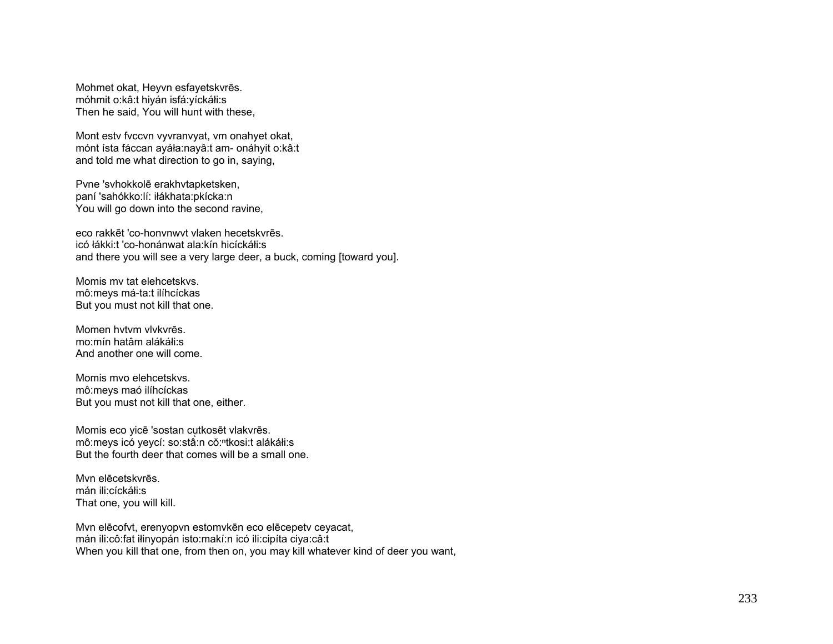Mohmet okat, Heyvn esfayetskvrēs. móhmit o:kâ:t hiyán isfá:yíckáłi:s Then he said, You will hunt with these,

Mont estv fvccvn vyvranvyat, vm onahyet okat, mónt ísta fáccan ayáła:nayâ:t am- onáhyit o:kâ:t and told me what direction to go in, saying,

Pvne 'svhokkolē erakhvtapketsken, paní 'sahókko:lí: iłákhata:pkícka:n You will go down into the second ravine,

eco rakkēt 'co-honvnwvt vlaken hecetskvrēs. icó łákki:t 'co-honánwat ala:kín hicíckáłi:s and there you will see a very large deer, a buck, coming [toward you].

Momis mv tat elehcetskvs. mô:meys má-ta:t ilíhcíckas But you must not kill that one.

Momen hvtvm vlvkvrēs. mo:mín hatâm alákáłi:s And another one will come.

Momis mvo elehcetskvs. mô:meys maó ilíhcíckas But you must not kill that one, either.

Momis eco yicē 'sostan cutkosēt vlakvrēs. mô:meys icó yeycí: so:stâ:n cŏ:<sup>n</sup>tkosi:t alákáłi:s But the fourth deer that comes will be a small one.

Mvn elēcetskvrēs. mán ili:cíckáłi:s That one, you will kill.

Mvn elēcofvt, erenyopvn estomvkēn eco elēcepetv ceyacat, mán ili:cô:fat iłinyopán isto:makí:n icó ili:cipíta ciya:câ:t When you kill that one, from then on, you may kill whatever kind of deer you want,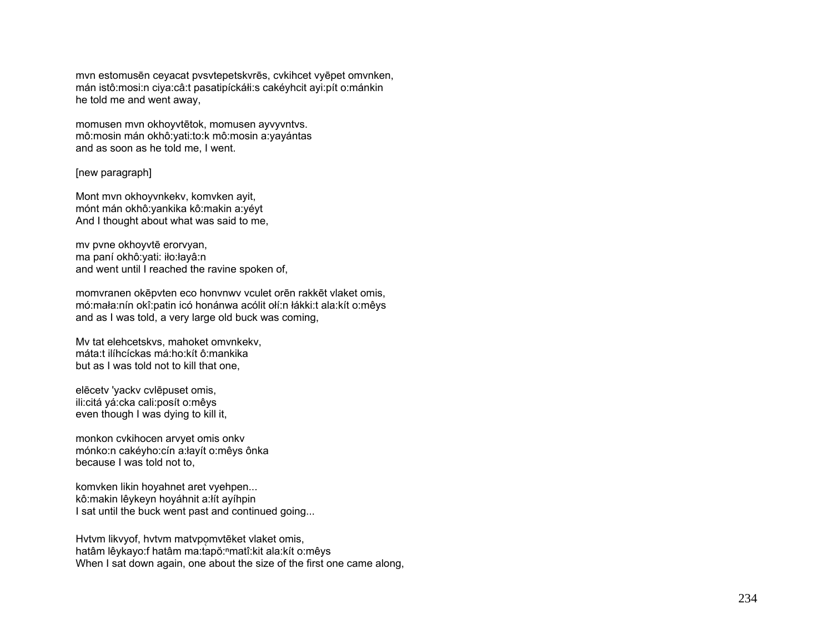mvn estomusēn ceyacat pvsvtepetskvrēs, cvkihcet vyēpet omvnken, mán istô:mosi:n ciya:câ:t pasatipíckáłi:s cakéyhcit ayi:pít o:mánkin he told me and went away,

momusen mvn okhoyvtētok, momusen ayvyvntvs. mô:mosin mán okhô:yati:to:k mô:mosin a:yayántas and as soon as he told me, I went.

[new paragraph]

Mont mvn okhoyvnkekv, komvken ayit, mónt mán okhô:yankika kô:makin a:yéyt And I thought about what was said to me,

mv pvne okhoyvtē erorvyan, ma paní okhô:yati: iło:łayâ:n and went until I reached the ravine spoken of,

momvranen okēpvten eco honvnwv vculet orēn rakkēt vlaket omis, mó:mała:nín okî:patin icó honánwa acólit ołí:n łákki:t ala:kít o:mêys and as I was told, a very large old buck was coming,

Mv tat elehcetskvs, mahoket omvnkekv, máta:t ilíhcíckas má:ho:kít ô:mankika but as I was told not to kill that one,

elēcetv 'yackv cvlēpuset omis, ili:citá yá:cka cali:posít o:mêys even though I was dying to kill it,

monkon cvkihocen arvyet omis onkv mónko:n cakéyho:cín a:łayít o:mêys ônka because I was told not to,

komvken likin hoyahnet aret vyehpen... kô:makin lêykeyn hoyáhnit a:łít ayíhpin I sat until the buck went past and continued going...

Hytvm likvyof, hytvm matypomytēket vlaket omis, hatâm lêykayo:f hatâm ma:tapŏ:<sup>n</sup>matî:kit ala:kít o:mêys When I sat down again, one about the size of the first one came along,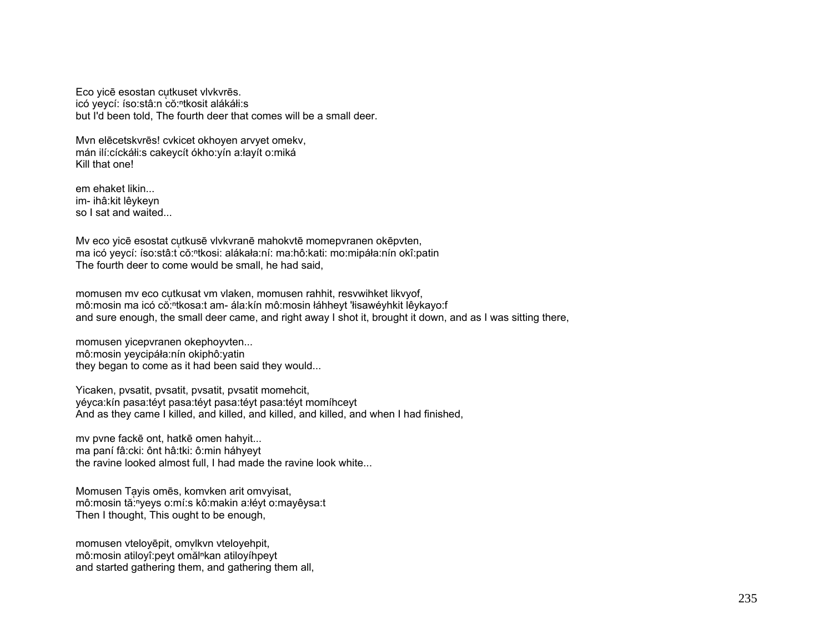Eco yicē esostan cutkuset vlvkvrēs. icó yeycí: íso:stâ:n cŏ:<sup>ⁿ</sup>tkosit alákáłi:s but I'd been told, The fourth deer that comes will be a small deer.

Mvn elēcetskvrēs! cvkicet okhoyen arvyet omekv, mán ilí:cíckáłi:s cakeycít ókho:yín a:łayít o:miká Kill that one!

em ehaket likin... im- ihâ:kit lêykeyn so I sat and waited...

Mv eco yicē esostat cutkusē vlvkvranē mahokvtē momepvranen okēpvten, ma icó yeycí: íso:stâ:t cŏ:<sup>n</sup>tkosi: alákała:ní: ma:hô:kati: mo:mipáła:nín okî:patin The fourth deer to come would be small, he had said,

momusen mv eco cųtkusat vm vlaken, momusen rahhit, resvwihket likvyof, mô:mosin ma icó cŏ:<sup>n</sup>tkosa:t am- ála:kín mô:mosin łáhheyt 'łisawéyhkit lêykayo:f and sure enough, the small deer came, and right away I shot it, brought it down, and as I was sitting there,

momusen yicepvranen okephoyvten... mô:mosin yeycipáła:nín okiphô:yatin they began to come as it had been said they would...

Yicaken, pvsatit, pvsatit, pvsatit, pvsatit momehcit, yéyca:kín pasa:téyt pasa:téyt pasa:téyt pasa:téyt momíhceyt And as they came I killed, and killed, and killed, and killed, and when I had finished,

mv pvne fackē ont, hatkē omen hahyit... ma paní fâ:cki: ônt hâ:tki: ô:min háhyeyt the ravine looked almost full, I had made the ravine look white...

Momusen Ta ̜yis omēs, komvken arit omvyisat, mô:mosin tă:<sup>n</sup>yeys o:mí:s kô:makin a:łéyt o:mayêysa:t Then I thought, This ought to be enough,

momusen vteloyēpit, omvlkvn vteloyehpit, mô:mosin atiloyî:peyt omălⁿkan atiloyíhpeyt and started gathering them, and gathering them all,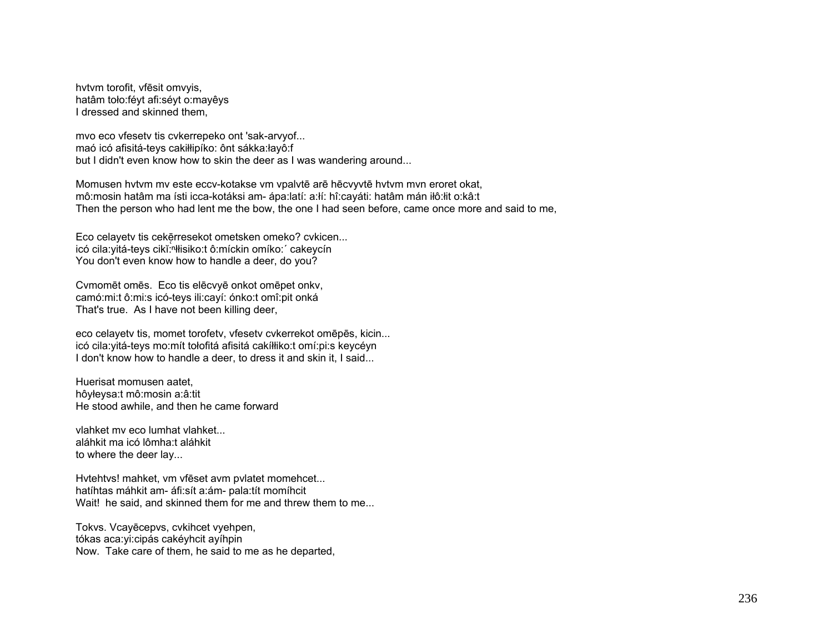hytym torofit, yfesit omyyis, hatâm toło: févt afi: sévt o: mayêys I dressed and skinned them.

mvo eco vfesety tis cykerrepeko ont 'sak-arvyof... maó icó afisitá-teys cakiłłipíko: ônt sákka:łayô:f but I didn't even know how to skin the deer as I was wandering around...

Momusen hytym my este eccy-kotakse ym ypalytē arē hēcyyytē hytym myn eroret okat, mô:mosin hatâm ma ísti icca-kotáksi am- ápa:latí: a:lí: hî:cayáti: hatâm mán iłô:łit o:kâ:t Then the person who had lent me the bow, the one I had seen before, came once more and said to me,

Eco celayety tis cekerresekot ometsken omeko? cykicen... icó cila: vitá-teys cikĭ: hłisiko: tô: míckin omíko: cakeycín You don't even know how to handle a deer, do you?

Cymomēt omēs. Eco tis elēcvyē onkot omēpet onky, camó: mi: t ô: mi: s icó-teys ili: cayí: ónko: t omî: pit onká That's true. As I have not been killing deer,

eco celayety tis, momet torofety, vfesety cykerrekot omepes, kicin... icó cila: yitá-teys mo: mít tołofitá afisitá cakíłłiko: t omí: pi: s keycéyn I don't know how to handle a deer, to dress it and skin it, I said...

Huerisat momusen aatet. hôyłeysa:t mô:mosin a:â:tit He stood awhile, and then he came forward

vlahket my eco lumhat vlahket... aláhkit ma icó lômha:t aláhkit to where the deer lay...

Hytehtys! mahket, ym vfēset avm pylatet momehcet... hatíhtas máhkit am- áfi:sít a:ám- pala:tít momíhcit Wait! he said, and skinned them for me and threw them to me...

Tokys. Vcayecepys, cykihcet vyehpen, tókas aca: vi: cipás caké y h cit a víh pin Now. Take care of them, he said to me as he departed,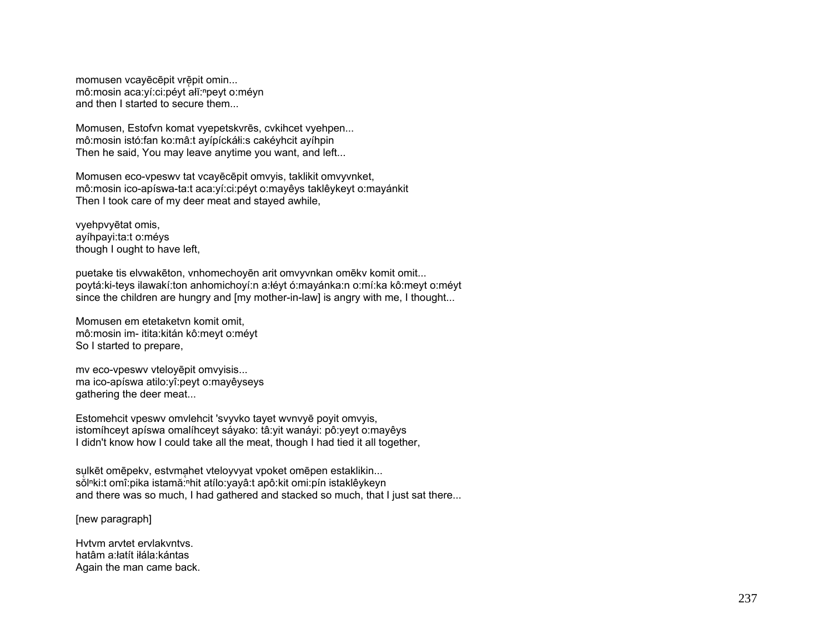momusen vcayēcēpit vrēpit omin... mô:mosin aca: yí: ci: pé yt ałĭ: <sup>n</sup>pe yt o: mé yn and then I started to secure them...

Momusen, Estofvn komat vyepetskvrēs, cvkihcet vyehpen... mô:mosin istó:fan ko:mâ:t ayípíckáłi:s cakéyhcit ayíhpin Then he said, You may leave anytime you want, and left...

Momusen eco-vpeswv tat vcayēcēpit omvyis, taklikit omvyvnket, mô:mosin ico-apíswa-ta:t aca:yí:ci:péyt o:mayêys taklêykeyt o:mayánkit Then I took care of my deer meat and stayed awhile,

vyehpvyētat omis, ayíhpayi:ta:t o:méys though I ought to have left,

puetake tis elvwakēton, vnhomechoyēn arit omvyvnkan omēkv komit omit... poytá:ki-teys ilawakí:ton anhomichoyí:n a:łéyt ó:mayánka:n o:mí:ka kô:meyt o:méyt since the children are hungry and [my mother-in-law] is angry with me, I thought...

Momusen em etetaketvn komit omit, mô:mosin im- itita:kitán kô:meyt o:méyt So I started to prepare,

mv eco-vpeswv vteloyēpit omvyisis... ma ico-apíswa atilo:yî:peyt o:mayêyseys gathering the deer meat...

Estomehcit vpeswv omvlehcit 'svyvko tayet wvnvyē poyit omvyis, istomíhceyt apíswa omalíhceyt sáyako: tâ:yit wanáyi: pô:yeyt o:mayêys I didn't know how I could take all the meat, though I had tied it all together,

sulkēt omēpekv, estvmahet vteloyvyat vpoket omēpen estaklikin... solnki:t omî:pika istamă: hit atílo:yayâ:t apô:kit omi:pín istaklêykeyn and there was so much, I had gathered and stacked so much, that I just sat there...

[new paragraph]

Hvtvm arvtet ervlakvntvs. hatâm a:łatít iłála:kántas Again the man came back.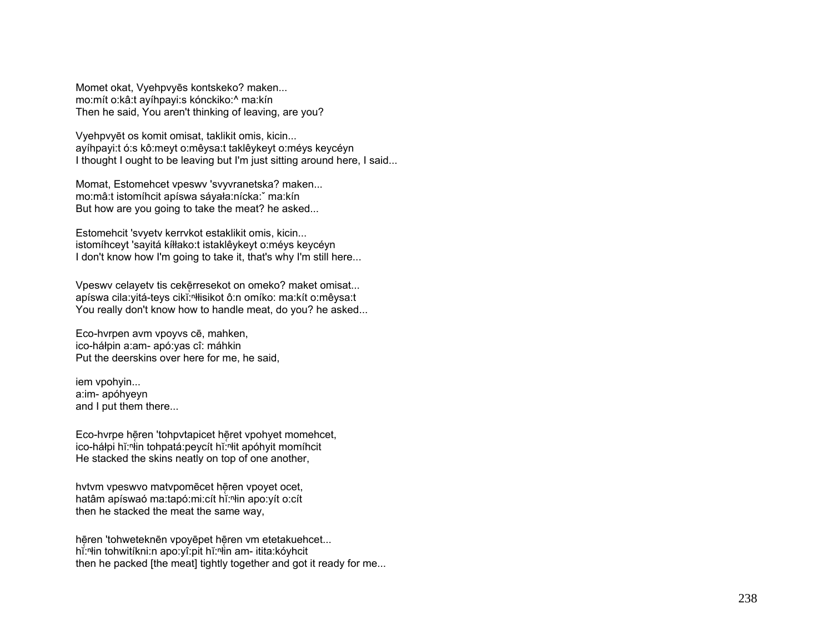Momet okat, Vyehpvyēs kontskeko? maken... mo:mít o:kâ:t ayíhpayi:s kónckiko:^ ma:kín Then he said, You aren't thinking of leaving, are you?

Vyehpvyēt os komit omisat, taklikit omis, kicin... ayíhpayi:t ó:s kô:meyt o:mêysa:t taklêykeyt o:méys keycéyn I thought I ought to be leaving but I'm just sitting around here, I said...

Momat, Estomehcet vpeswv 'svyvranetska? maken... mo:mâ:t istomíhcit apíswa sáyała:nícka:ˇ ma:kín But how are you going to take the meat? he asked...

Estomehcit 'svyetv kerrvkot estaklikit omis, kicin... istomíhceyt 'sayitá kíłłako:t istaklêykeyt o:méys keycéyn I don't know how I'm going to take it, that's why I'm still here...

Vpeswy celayety tis cekērresekot on omeko? maket omisat... apíswa cila: yitá-teys cikĭ: "łłisikot ô:n omíko: ma: kít o: mêysa: t You really don't know how to handle meat, do you? he asked...

Eco-hvrpen avm vpoyvs cē, mahken, ico-háłpin a:am- apó:yas cî: máhkin Put the deerskins over here for me, he said,

iem vpohyin... a:im- apóhyeyn and I put them there...

Eco-hvrpe hēren 'tohpvtapicet hēret vpohyet momehcet, ico-háłpi hĭ:<sup>n</sup>łin tohpatá:peycít hĭ:<sup>n</sup>łit apóhyit momíhcit He stacked the skins neatly on top of one another,

hytym vpeswyo matypomēcet hēren vpoyet ocet, hatâm apíswaó ma:tapó:mi:cít hǐ:<sup>n</sup>łin apo:yít o:cít then he stacked the meat the same way,

hē̥ren 'tohweteknēn vpoyēpet hē̞ren vm etetakuehcet... hĭ:<sup>n</sup>łin tohwitíkni:n apo:yî:pit hĭ:ʰłin am- itita:kóyhcit then he packed [the meat] tightly together and got it ready for me...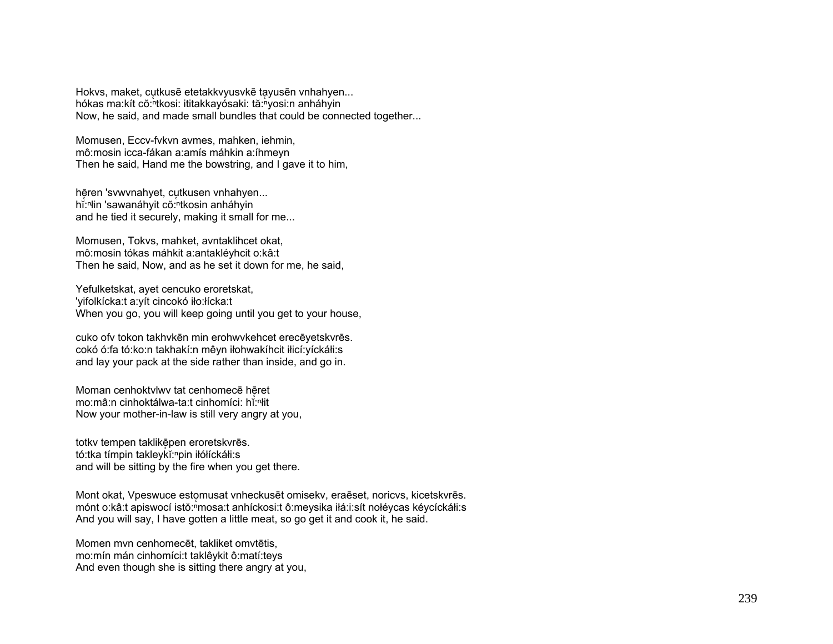Hokvs, maket, cutkusē etetakkvyusvkē tayusēn vnhahyen... hókas ma:kít cŏ:<sup>h</sup>tkosi: ititakkayósaki: tă:hyosi:n anháhyin Now, he said, and made small bundles that could be connected together...

Momusen, Eccv-fykyn aymes, mahken, iehmin, mô:mosin icca-fákan a:amís máhkin a:íhmeyn Then he said, Hand me the bowstring, and I gave it to him,

hēren 'svwynahyet, cutkusen vnhahyen... hi:<sup>n</sup>lin 'sawanáhyit cŏ:ntkosin anháhyin and he tied it securely, making it small for me...

Momusen, Tokvs, mahket, avntaklihcet okat, mô:mosin tókas máhkit a:antakléyhcit o:kâ:t Then he said, Now, and as he set it down for me, he said,

Yefulketskat, ayet cencuko eroretskat, 'yifolkícka:t a:yít cincokó iło:łícka:t When you go, you will keep going until you get to your house,

cuko ofv tokon takhvkēn min erohwvkehcet erecēyetskvrēs. cokó ó:fa tó:ko:n takhakí:n mêyn iłohwakíhcit iłicí:yíckáłi:s and lay your pack at the side rather than inside, and go in.

Moman cenhoktvlwy tat cenhomece heret mo:mâ:n cinhoktálwa-ta:t cinhomíci: hǐ:<sup>n</sup>it Now your mother-in-law is still very angry at you,

totky tempen taklikēpen eroretskyrēs. tó:tka tímpin takleykĭ:npin iłółíckáłi:s and will be sitting by the fire when you get there.

Mont okat, Vpeswuce estomusat vnheckusēt omisekv, eraēset, noricys, kicetskyrēs. mónt o:kâ:t apiswocí istŏ:<sup>n</sup>mosa:t anhíckosi:t ô:meysika iłá:i:sít nołéycas kéycíckáłi:s And you will say, I have gotten a little meat, so go get it and cook it, he said.

Momen myn cenhomecet, takliket omytetis, mo: mín mán cinhomíci: taklêykit ô: matí: teys And even though she is sitting there angry at you,